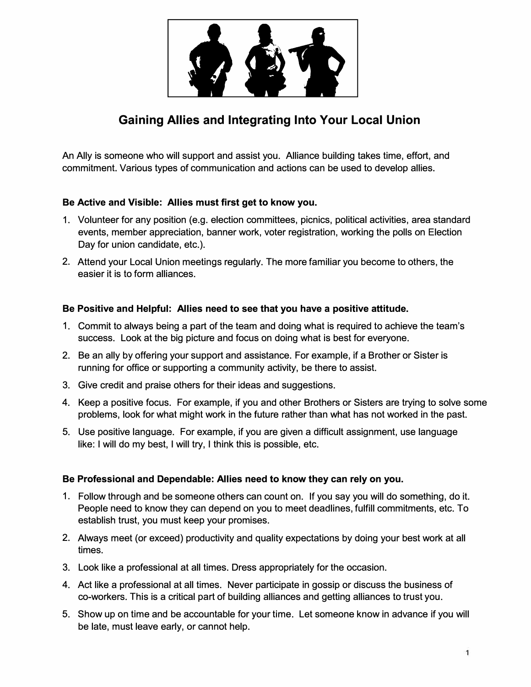

# **Gaining Allies and Integrating Into Your Local Union**

An Ally is someone who will support and assist you. Alliance building takes time, effort, and commitment. Various types of communication and actions can be used to develop allies.

## **Be Active and Visible: Allies must first get to know you.**

- 1. Volunteer for any position (e.g. election committees, picnics, political activities, area standard events, member appreciation, banner work, voter registration, working the polls on Election Day for union candidate, etc.).
- 2. Attend your Local Union meetings regularly. The more familiar you become to others, the easier it is to form alliances.

### **Be Positive and Helpful: Allies need to see that you have a positive attitude.**

- 1. Commit to always being a part of the team and doing what is required to achieve the team's success. Look at the big picture and focus on doing what is best for everyone.
- 2. Be an ally by offering your support and assistance. For example, if a Brother or Sister is running for office or supporting a community activity, be there to assist.
- 3. Give credit and praise others for their ideas and suggestions.
- 4. Keep a positive focus. For example, if you and other Brothers or Sisters are trying to solve some problems, look for what might work in the future rather than what has not worked in the past.
- 5. Use positive language. For example, if you are given a difficult assignment, use language like: I will do my best, I will try, I think this is possible, etc.

## **Be Professional and Dependable: Allies need to know they can rely on you.**

- 1. Follow through and be someone others can count on. If you say you will do something, do it. People need to know they can depend on you to meet deadlines, fulfill commitments, etc. To establish trust, you must keep your promises.
- 2. Always meet (or exceed) productivity and quality expectations by doing your best work at all times.
- 3. Look like a professional at all times. Dress appropriately for the occasion.
- 4. Act like a professional at all times. Never participate in gossip or discuss the business of co-workers. This is a critical part of building alliances and getting alliances to trust you.
- 5. Show up on time and be accountable for your time. Let someone know in advance if you will be late, must leave early, or cannot help.